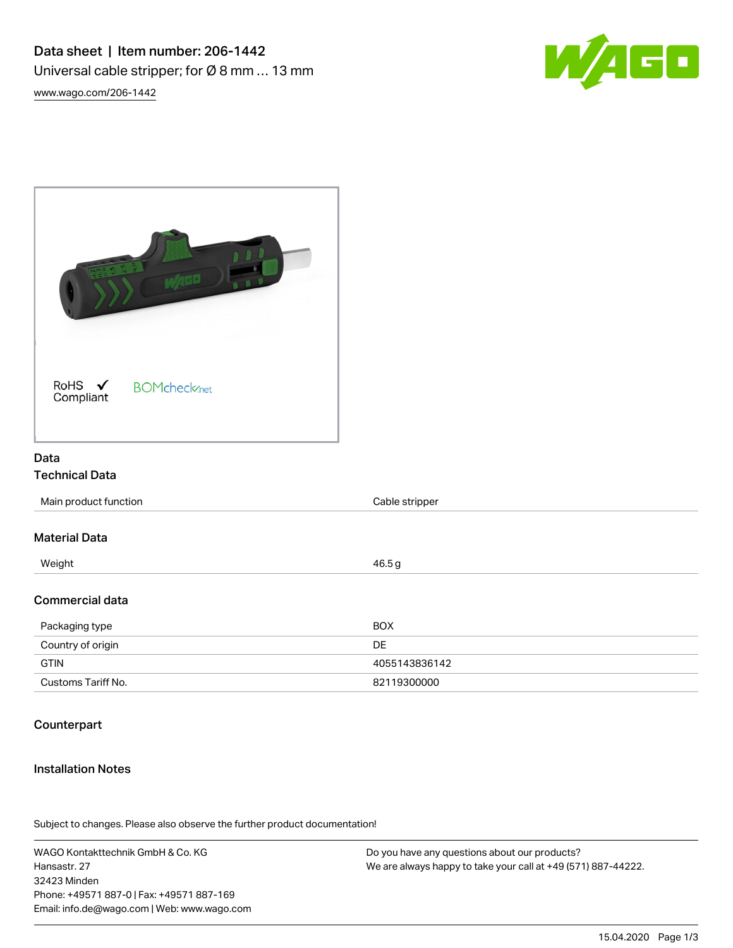

[www.wago.com/206-1442](http://www.wago.com/206-1442)

| RoHS $\checkmark$<br><b>BOMcheck</b> <sub>net</sub><br>Compliant |                |  |
|------------------------------------------------------------------|----------------|--|
| Data                                                             |                |  |
| <b>Technical Data</b>                                            |                |  |
| Main product function                                            | Cable stripper |  |
| <b>Material Data</b>                                             |                |  |
| Weight                                                           | 46.5g          |  |
| Commercial data                                                  |                |  |
| Packaging type                                                   | <b>BOX</b>     |  |
| Country of origin                                                | DE             |  |
|                                                                  |                |  |

## **Counterpart**

## Installation Notes

Subject to changes. Please also observe the further product documentation!

GTIN 4055143836142 Customs Tariff No. 6 and 20119300000 customs Tariff No.

WAGO Kontakttechnik GmbH & Co. KG Hansastr. 27 32423 Minden Phone: +49571 887-0 | Fax: +49571 887-169 Email: info.de@wago.com | Web: www.wago.com

Do you have any questions about our products? We are always happy to take your call at +49 (571) 887-44222.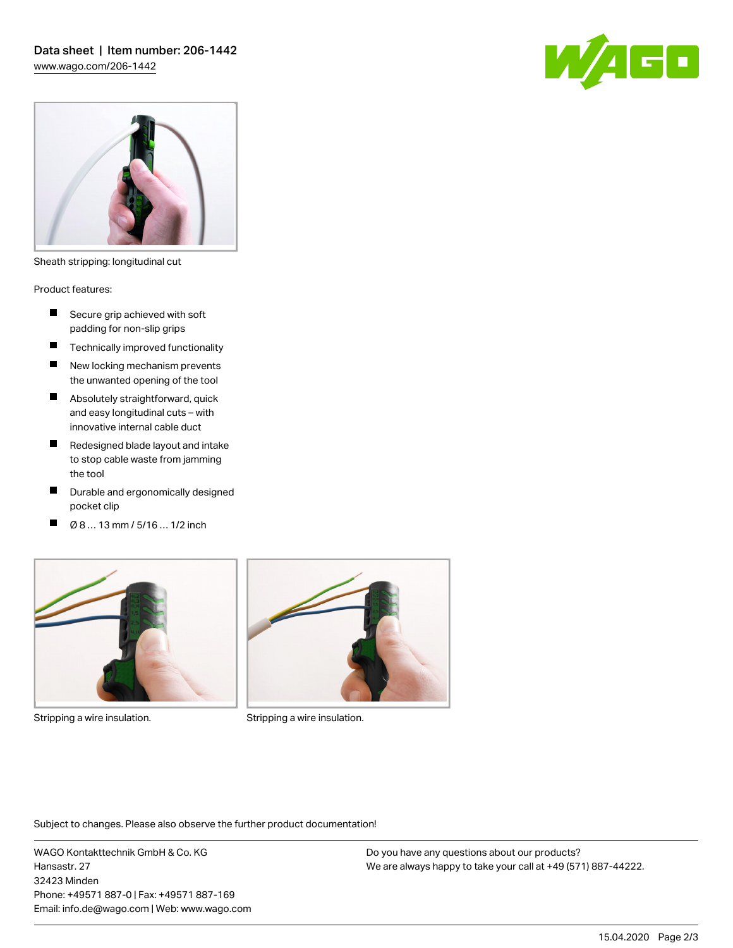



Sheath stripping: longitudinal cut

Product features:

- $\blacksquare$ Secure grip achieved with soft padding for non-slip grips
- **Technically improved functionality**
- П New locking mechanism prevents the unwanted opening of the tool
- **Absolutely straightforward, quick** and easy longitudinal cuts – with innovative internal cable duct
- Redesigned blade layout and intake to stop cable waste from jamming the tool
- $\blacksquare$ Durable and ergonomically designed pocket clip
- Ø 8 … 13 mm / 5/16 … 1/2 inchП



Stripping a wire insulation. The stripping a wire insulation.



Subject to changes. Please also observe the further product documentation!

WAGO Kontakttechnik GmbH & Co. KG Hansastr. 27 32423 Minden Phone: +49571 887-0 | Fax: +49571 887-169 Email: info.de@wago.com | Web: www.wago.com Do you have any questions about our products? We are always happy to take your call at +49 (571) 887-44222.